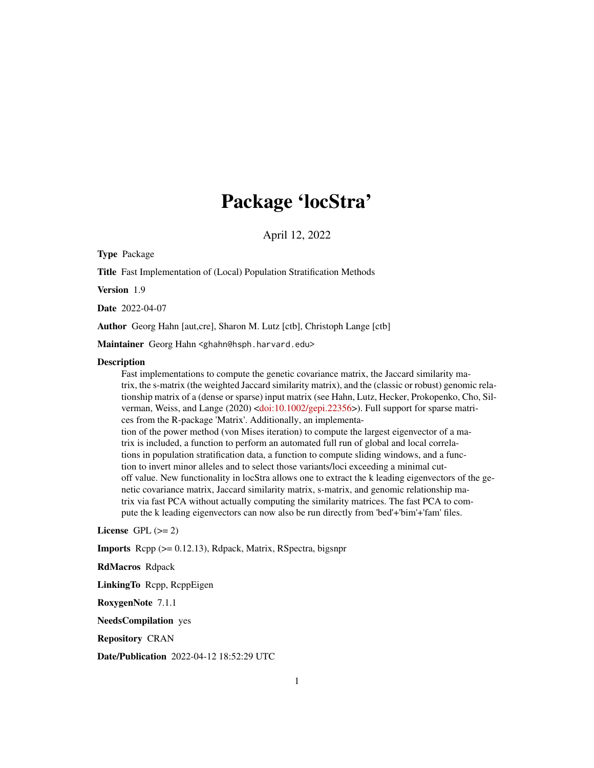# Package 'locStra'

April 12, 2022

Type Package

Title Fast Implementation of (Local) Population Stratification Methods

Version 1.9

Date 2022-04-07

Author Georg Hahn [aut,cre], Sharon M. Lutz [ctb], Christoph Lange [ctb]

Maintainer Georg Hahn <ghahn@hsph.harvard.edu>

#### **Description**

Fast implementations to compute the genetic covariance matrix, the Jaccard similarity matrix, the s-matrix (the weighted Jaccard similarity matrix), and the (classic or robust) genomic relationship matrix of a (dense or sparse) input matrix (see Hahn, Lutz, Hecker, Prokopenko, Cho, Sil-verman, Weiss, and Lange (2020) [<doi:10.1002/gepi.22356>](https://doi.org/10.1002/gepi.22356)). Full support for sparse matrices from the R-package 'Matrix'. Additionally, an implementation of the power method (von Mises iteration) to compute the largest eigenvector of a matrix is included, a function to perform an automated full run of global and local correlations in population stratification data, a function to compute sliding windows, and a function to invert minor alleles and to select those variants/loci exceeding a minimal cutoff value. New functionality in locStra allows one to extract the k leading eigenvectors of the genetic covariance matrix, Jaccard similarity matrix, s-matrix, and genomic relationship matrix via fast PCA without actually computing the similarity matrices. The fast PCA to compute the k leading eigenvectors can now also be run directly from 'bed'+'bim'+'fam' files.

License GPL  $(>= 2)$ 

Imports Rcpp (>= 0.12.13), Rdpack, Matrix, RSpectra, bigsnpr

RdMacros Rdpack

LinkingTo Rcpp, RcppEigen

RoxygenNote 7.1.1

NeedsCompilation yes

Repository CRAN

Date/Publication 2022-04-12 18:52:29 UTC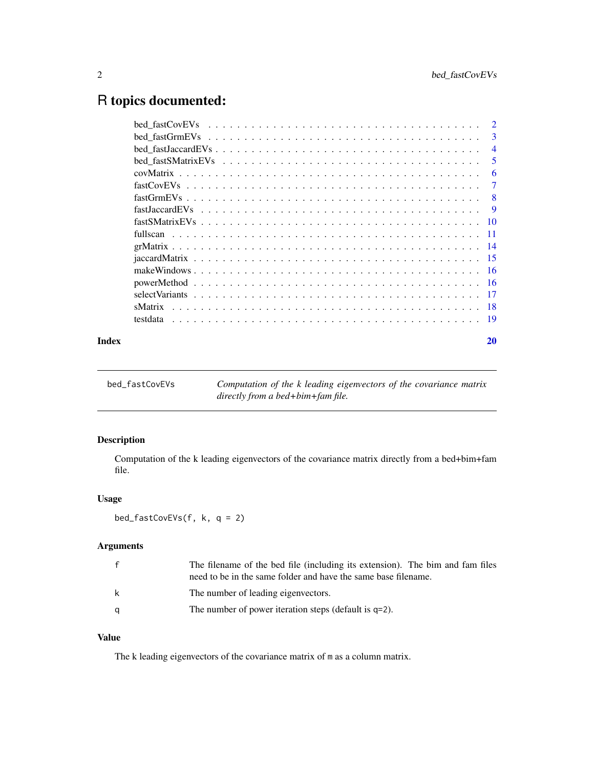# <span id="page-1-0"></span>R topics documented:

|       |                                                                                                                      | -3             |
|-------|----------------------------------------------------------------------------------------------------------------------|----------------|
|       | $bed_fastJaccardEVs \dots \dots \dots \dots \dots \dots \dots \dots \dots \dots \dots \dots \dots \dots \dots \dots$ | $\overline{4}$ |
|       |                                                                                                                      | 5              |
|       |                                                                                                                      | -6             |
|       |                                                                                                                      | -7             |
|       |                                                                                                                      |                |
|       |                                                                                                                      |                |
|       |                                                                                                                      |                |
|       |                                                                                                                      |                |
|       |                                                                                                                      |                |
|       |                                                                                                                      |                |
|       |                                                                                                                      |                |
|       |                                                                                                                      |                |
|       |                                                                                                                      |                |
|       |                                                                                                                      |                |
|       |                                                                                                                      |                |
| Index |                                                                                                                      | 20             |

bed\_fastCovEVs *Computation of the k leading eigenvectors of the covariance matrix directly from a bed+bim+fam file.*

# Description

Computation of the k leading eigenvectors of the covariance matrix directly from a bed+bim+fam file.

# Usage

bed\_fastCovEVs(f, k, q = 2)

# Arguments

|   | The filename of the bed file (including its extension). The bim and fam files<br>need to be in the same folder and have the same base filename. |
|---|-------------------------------------------------------------------------------------------------------------------------------------------------|
| k | The number of leading eigenvectors.                                                                                                             |
| q | The number of power iteration steps (default is $q=2$ ).                                                                                        |

# Value

The k leading eigenvectors of the covariance matrix of m as a column matrix.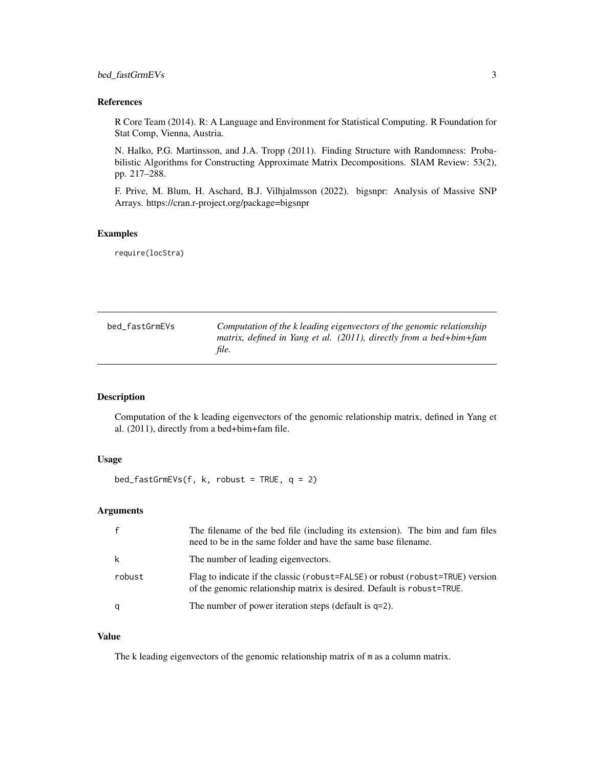# <span id="page-2-0"></span>bed\_fastGrmEVs 3

# References

R Core Team (2014). R: A Language and Environment for Statistical Computing. R Foundation for Stat Comp, Vienna, Austria.

N. Halko, P.G. Martinsson, and J.A. Tropp (2011). Finding Structure with Randomness: Probabilistic Algorithms for Constructing Approximate Matrix Decompositions. SIAM Review: 53(2), pp. 217–288.

F. Prive, M. Blum, H. Aschard, B.J. Vilhjalmsson (2022). bigsnpr: Analysis of Massive SNP Arrays. https://cran.r-project.org/package=bigsnpr

# Examples

require(locStra)

| bed fastGrmEVs | Computation of the k leading eigenvectors of the genomic relationship |
|----------------|-----------------------------------------------------------------------|
|                | matrix, defined in Yang et al. $(2011)$ , directly from a bed+bim+fam |
|                | file.                                                                 |

### Description

Computation of the k leading eigenvectors of the genomic relationship matrix, defined in Yang et al. (2011), directly from a bed+bim+fam file.

# Usage

```
bed_fastGrmEVs(f, k, robust = TRUE, q = 2)
```
# Arguments

| $\mathbf{f}$ | The filename of the bed file (including its extension). The bim and fam files<br>need to be in the same folder and have the same base filename.          |
|--------------|----------------------------------------------------------------------------------------------------------------------------------------------------------|
| k            | The number of leading eigenvectors.                                                                                                                      |
| robust       | Flag to indicate if the classic (robust=FALSE) or robust (robust=TRUE) version<br>of the genomic relationship matrix is desired. Default is robust=TRUE. |
| q            | The number of power iteration steps (default is $q=2$ ).                                                                                                 |

#### Value

The k leading eigenvectors of the genomic relationship matrix of m as a column matrix.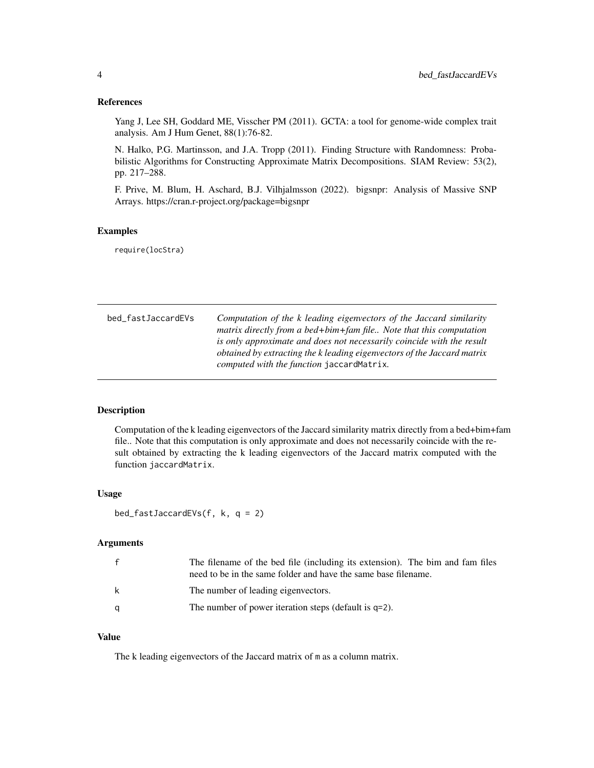<span id="page-3-0"></span>Yang J, Lee SH, Goddard ME, Visscher PM (2011). GCTA: a tool for genome-wide complex trait analysis. Am J Hum Genet, 88(1):76-82.

N. Halko, P.G. Martinsson, and J.A. Tropp (2011). Finding Structure with Randomness: Probabilistic Algorithms for Constructing Approximate Matrix Decompositions. SIAM Review: 53(2), pp. 217–288.

F. Prive, M. Blum, H. Aschard, B.J. Vilhjalmsson (2022). bigsnpr: Analysis of Massive SNP Arrays. https://cran.r-project.org/package=bigsnpr

#### Examples

require(locStra)

bed\_fastJaccardEVs *Computation of the k leading eigenvectors of the Jaccard similarity matrix directly from a bed+bim+fam file.. Note that this computation is only approximate and does not necessarily coincide with the result obtained by extracting the k leading eigenvectors of the Jaccard matrix computed with the function* jaccardMatrix*.*

# **Description**

Computation of the k leading eigenvectors of the Jaccard similarity matrix directly from a bed+bim+fam file.. Note that this computation is only approximate and does not necessarily coincide with the result obtained by extracting the k leading eigenvectors of the Jaccard matrix computed with the function jaccardMatrix.

#### Usage

```
bed_fastJaccardEVs(f, k, q = 2)
```
# **Arguments**

|   | The filename of the bed file (including its extension). The bim and fam files<br>need to be in the same folder and have the same base filename. |
|---|-------------------------------------------------------------------------------------------------------------------------------------------------|
| k | The number of leading eigenvectors.                                                                                                             |
| α | The number of power iteration steps (default is $q=2$ ).                                                                                        |

#### Value

The k leading eigenvectors of the Jaccard matrix of m as a column matrix.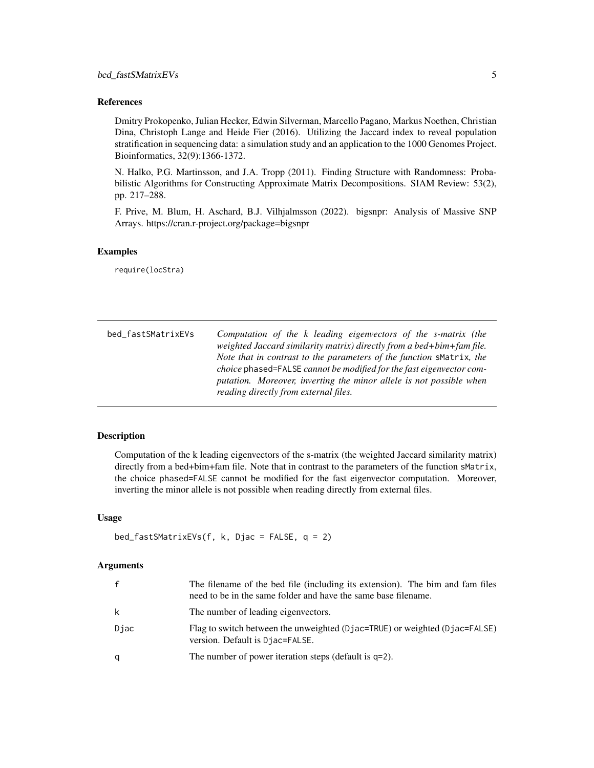<span id="page-4-0"></span>Dmitry Prokopenko, Julian Hecker, Edwin Silverman, Marcello Pagano, Markus Noethen, Christian Dina, Christoph Lange and Heide Fier (2016). Utilizing the Jaccard index to reveal population stratification in sequencing data: a simulation study and an application to the 1000 Genomes Project. Bioinformatics, 32(9):1366-1372.

N. Halko, P.G. Martinsson, and J.A. Tropp (2011). Finding Structure with Randomness: Probabilistic Algorithms for Constructing Approximate Matrix Decompositions. SIAM Review: 53(2), pp. 217–288.

F. Prive, M. Blum, H. Aschard, B.J. Vilhjalmsson (2022). bigsnpr: Analysis of Massive SNP Arrays. https://cran.r-project.org/package=bigsnpr

# Examples

require(locStra)

| bed_fastSMatrixEVs | Computation of the k leading eigenvectors of the s-matrix (the<br>weighted Jaccard similarity matrix) directly from a bed+bim+fam file.                                                                                                                      |
|--------------------|--------------------------------------------------------------------------------------------------------------------------------------------------------------------------------------------------------------------------------------------------------------|
|                    | Note that in contrast to the parameters of the function sMatrix, the<br>choice phased=FALSE cannot be modified for the fast eigenvector com-<br>putation. Moreover, inverting the minor allele is not possible when<br>reading directly from external files. |

#### Description

Computation of the k leading eigenvectors of the s-matrix (the weighted Jaccard similarity matrix) directly from a bed+bim+fam file. Note that in contrast to the parameters of the function sMatrix, the choice phased=FALSE cannot be modified for the fast eigenvector computation. Moreover, inverting the minor allele is not possible when reading directly from external files.

## Usage

```
bed_fastSMatrixEVs(f, k, Djac = FALSE, q = 2)
```
#### Arguments

| $\mathbf{f}$ | The filename of the bed file (including its extension). The bim and fam files<br>need to be in the same folder and have the same base filename. |
|--------------|-------------------------------------------------------------------------------------------------------------------------------------------------|
| k            | The number of leading eigenvectors.                                                                                                             |
| Djac         | Flag to switch between the unweighted (Djac=TRUE) or weighted (Djac=FALSE)<br>version. Default is Djac=FALSE.                                   |
| q            | The number of power iteration steps (default is $q=2$ ).                                                                                        |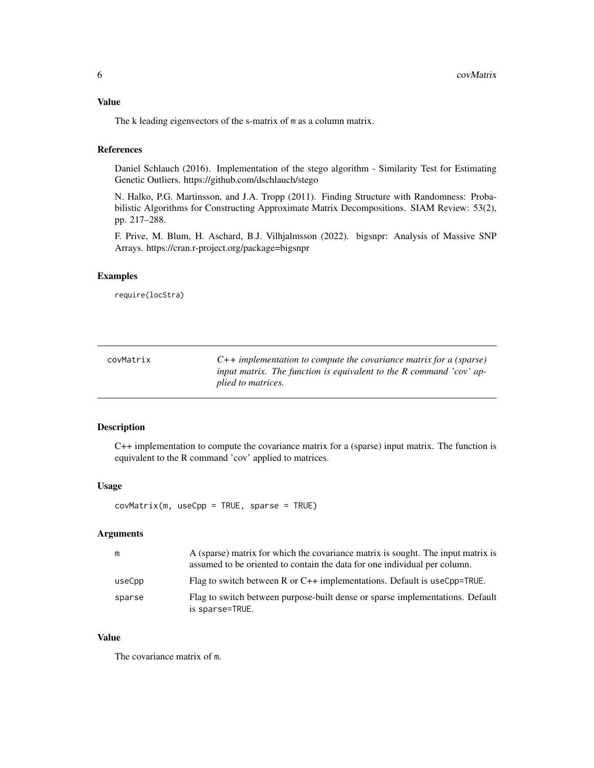# <span id="page-5-0"></span>Value

The k leading eigenvectors of the s-matrix of m as a column matrix.

# References

Daniel Schlauch (2016). Implementation of the stego algorithm - Similarity Test for Estimating Genetic Outliers. https://github.com/dschlauch/stego

N. Halko, P.G. Martinsson, and J.A. Tropp (2011). Finding Structure with Randomness: Probabilistic Algorithms for Constructing Approximate Matrix Decompositions. SIAM Review: 53(2), pp. 217–288.

F. Prive, M. Blum, H. Aschard, B.J. Vilhjalmsson (2022). bigsnpr: Analysis of Massive SNP Arrays. https://cran.r-project.org/package=bigsnpr

#### Examples

require(locStra)

| covMatrix | $C++$ implementation to compute the covariance matrix for a (sparse) |
|-----------|----------------------------------------------------------------------|
|           | input matrix. The function is equivalent to the R command 'cov' ap-  |
|           | <i>plied to matrices.</i>                                            |

#### Description

C++ implementation to compute the covariance matrix for a (sparse) input matrix. The function is equivalent to the R command 'cov' applied to matrices.

#### Usage

covMatrix(m, useCpp = TRUE, sparse = TRUE)

# Arguments

| m      | A (sparse) matrix for which the covariance matrix is sought. The input matrix is<br>assumed to be oriented to contain the data for one individual per column. |
|--------|---------------------------------------------------------------------------------------------------------------------------------------------------------------|
| useCpp | Flag to switch between R or $C++$ implementations. Default is useCpp=TRUE.                                                                                    |
| sparse | Flag to switch between purpose-built dense or sparse implementations. Default<br>is sparse=TRUE.                                                              |

#### Value

The covariance matrix of m.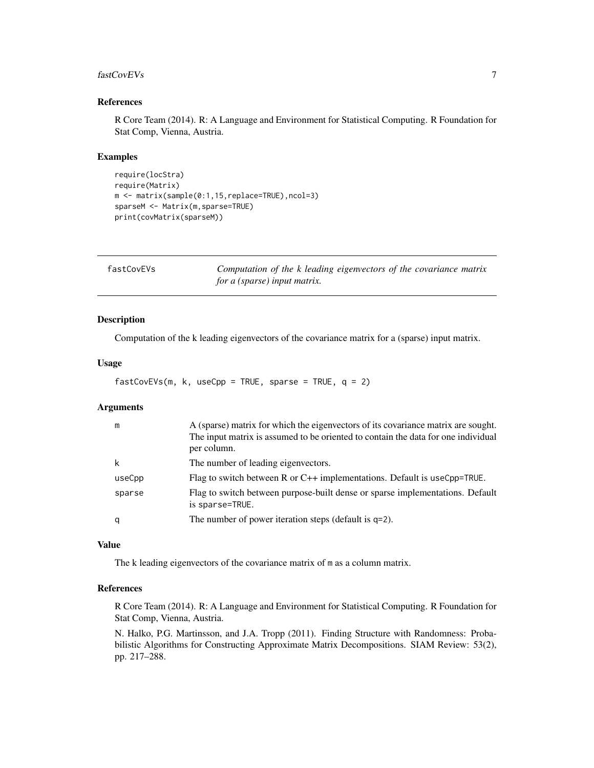#### <span id="page-6-0"></span>fastCovEVs 7

# References

R Core Team (2014). R: A Language and Environment for Statistical Computing. R Foundation for Stat Comp, Vienna, Austria.

#### Examples

```
require(locStra)
require(Matrix)
m <- matrix(sample(0:1,15,replace=TRUE),ncol=3)
sparseM <- Matrix(m,sparse=TRUE)
print(covMatrix(sparseM))
```

| fastCovEVs | Computation of the k leading eigenvectors of the covariance matrix |  |
|------------|--------------------------------------------------------------------|--|
|            | for a (sparse) input matrix.                                       |  |

# Description

Computation of the k leading eigenvectors of the covariance matrix for a (sparse) input matrix.

#### Usage

```
fastCovEVs(m, k, useCpp = TRUE, sparse = TRUE, q = 2)
```
#### Arguments

| m      | A (sparse) matrix for which the eigenvectors of its covariance matrix are sought.<br>The input matrix is assumed to be oriented to contain the data for one individual<br>per column. |
|--------|---------------------------------------------------------------------------------------------------------------------------------------------------------------------------------------|
| k      | The number of leading eigenvectors.                                                                                                                                                   |
| useCpp | Flag to switch between R or $C_{++}$ implementations. Default is useCpp=TRUE.                                                                                                         |
| sparse | Flag to switch between purpose-built dense or sparse implementations. Default<br>is sparse=TRUE.                                                                                      |
| q      | The number of power iteration steps (default is $q=2$ ).                                                                                                                              |

#### Value

The k leading eigenvectors of the covariance matrix of m as a column matrix.

#### References

R Core Team (2014). R: A Language and Environment for Statistical Computing. R Foundation for Stat Comp, Vienna, Austria.

N. Halko, P.G. Martinsson, and J.A. Tropp (2011). Finding Structure with Randomness: Probabilistic Algorithms for Constructing Approximate Matrix Decompositions. SIAM Review: 53(2), pp. 217–288.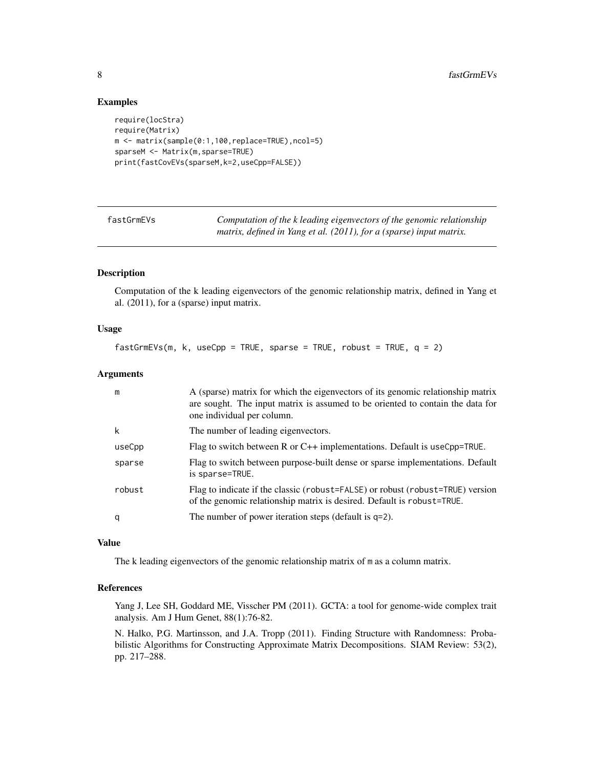#### Examples

```
require(locStra)
require(Matrix)
m <- matrix(sample(0:1,100,replace=TRUE),ncol=5)
sparseM <- Matrix(m,sparse=TRUE)
print(fastCovEVs(sparseM,k=2,useCpp=FALSE))
```
fastGrmEVs *Computation of the k leading eigenvectors of the genomic relationship matrix, defined in Yang et al. (2011), for a (sparse) input matrix.*

# Description

Computation of the k leading eigenvectors of the genomic relationship matrix, defined in Yang et al. (2011), for a (sparse) input matrix.

# Usage

 $fastGrmEVs(m, k, useCpp = TRUE, sparse = TRUE, robust = TRUE, q = 2)$ 

## Arguments

| m      | A (sparse) matrix for which the eigenvectors of its genomic relationship matrix<br>are sought. The input matrix is assumed to be oriented to contain the data for<br>one individual per column. |
|--------|-------------------------------------------------------------------------------------------------------------------------------------------------------------------------------------------------|
| k      | The number of leading eigenvectors.                                                                                                                                                             |
| useCpp | Flag to switch between R or $C++$ implementations. Default is useCpp=TRUE.                                                                                                                      |
| sparse | Flag to switch between purpose-built dense or sparse implementations. Default<br>is sparse=TRUE.                                                                                                |
| robust | Flag to indicate if the classic (robust=FALSE) or robust (robust=TRUE) version<br>of the genomic relationship matrix is desired. Default is robust=TRUE.                                        |
| q      | The number of power iteration steps (default is $q=2$ ).                                                                                                                                        |

# Value

The k leading eigenvectors of the genomic relationship matrix of m as a column matrix.

#### References

Yang J, Lee SH, Goddard ME, Visscher PM (2011). GCTA: a tool for genome-wide complex trait analysis. Am J Hum Genet, 88(1):76-82.

N. Halko, P.G. Martinsson, and J.A. Tropp (2011). Finding Structure with Randomness: Probabilistic Algorithms for Constructing Approximate Matrix Decompositions. SIAM Review: 53(2), pp. 217–288.

<span id="page-7-0"></span>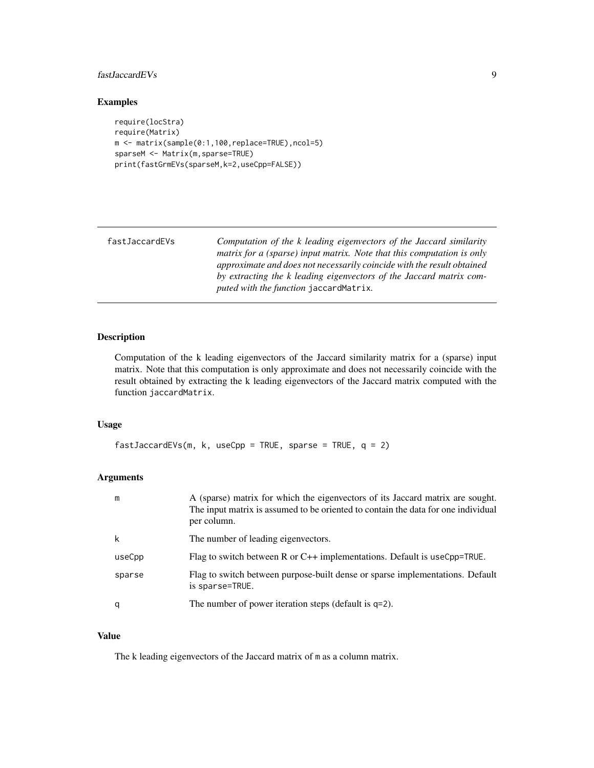# <span id="page-8-0"></span>fastJaccardEVs 9

# Examples

```
require(locStra)
require(Matrix)
m <- matrix(sample(0:1,100,replace=TRUE),ncol=5)
sparseM <- Matrix(m,sparse=TRUE)
print(fastGrmEVs(sparseM,k=2,useCpp=FALSE))
```

| fastJaccardEVs | Computation of the k leading eigenvectors of the Jaccard similarity<br>matrix for a (sparse) input matrix. Note that this computation is only<br>approximate and does not necessarily coincide with the result obtained<br>by extracting the k leading eigenvectors of the Jaccard matrix com- |
|----------------|------------------------------------------------------------------------------------------------------------------------------------------------------------------------------------------------------------------------------------------------------------------------------------------------|
|                | puted with the function jaccardMatrix.                                                                                                                                                                                                                                                         |

# Description

Computation of the k leading eigenvectors of the Jaccard similarity matrix for a (sparse) input matrix. Note that this computation is only approximate and does not necessarily coincide with the result obtained by extracting the k leading eigenvectors of the Jaccard matrix computed with the function jaccardMatrix.

#### Usage

```
fastJaccardEVs(m, k, useCpp = TRUE, sparse = TRUE, q = 2)
```
# Arguments

| m      | A (sparse) matrix for which the eigenvectors of its Jaccard matrix are sought.<br>The input matrix is assumed to be oriented to contain the data for one individual<br>per column. |
|--------|------------------------------------------------------------------------------------------------------------------------------------------------------------------------------------|
| k      | The number of leading eigenvectors.                                                                                                                                                |
| useCpp | Flag to switch between R or $C_{++}$ implementations. Default is useCpp=TRUE.                                                                                                      |
| sparse | Flag to switch between purpose-built dense or sparse implementations. Default<br>is sparse=TRUE.                                                                                   |
| q      | The number of power iteration steps (default is $q=2$ ).                                                                                                                           |

# Value

The k leading eigenvectors of the Jaccard matrix of m as a column matrix.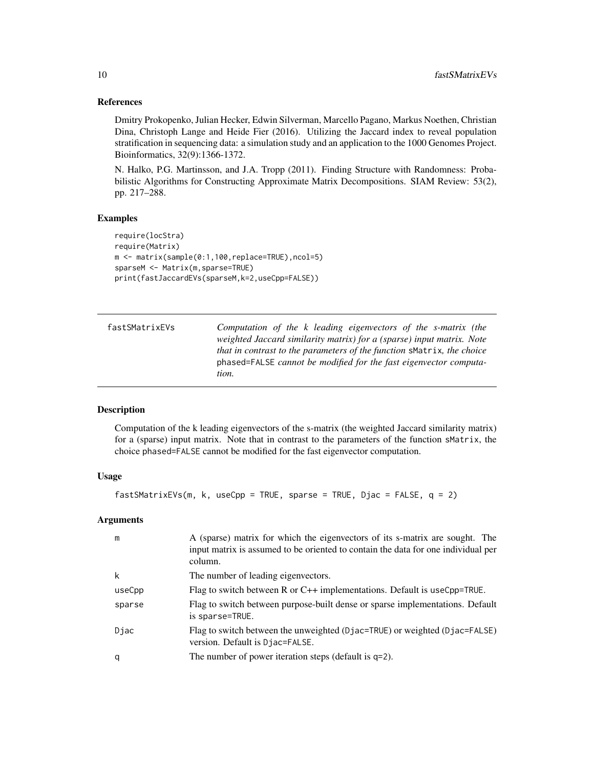Dmitry Prokopenko, Julian Hecker, Edwin Silverman, Marcello Pagano, Markus Noethen, Christian Dina, Christoph Lange and Heide Fier (2016). Utilizing the Jaccard index to reveal population stratification in sequencing data: a simulation study and an application to the 1000 Genomes Project. Bioinformatics, 32(9):1366-1372.

N. Halko, P.G. Martinsson, and J.A. Tropp (2011). Finding Structure with Randomness: Probabilistic Algorithms for Constructing Approximate Matrix Decompositions. SIAM Review: 53(2), pp. 217–288.

### Examples

```
require(locStra)
require(Matrix)
m <- matrix(sample(0:1,100,replace=TRUE),ncol=5)
sparseM <- Matrix(m,sparse=TRUE)
print(fastJaccardEVs(sparseM,k=2,useCpp=FALSE))
```

| fastSMatrixEVs | Computation of the k leading eigenvectors of the s-matrix (the         |
|----------------|------------------------------------------------------------------------|
|                | weighted Jaccard similarity matrix) for a (sparse) input matrix. Note  |
|                | that in contrast to the parameters of the function smatrix, the choice |
|                | phased=FALSE cannot be modified for the fast eigenvector computa-      |
|                | tion.                                                                  |

# Description

Computation of the k leading eigenvectors of the s-matrix (the weighted Jaccard similarity matrix) for a (sparse) input matrix. Note that in contrast to the parameters of the function sMatrix, the choice phased=FALSE cannot be modified for the fast eigenvector computation.

# Usage

```
fastSMatrixEVs(m, k, useCpp = TRUE, sparse = TRUE, Djac = FALSE, q = 2)
```
#### Arguments

| m      | A (sparse) matrix for which the eigenvectors of its s-matrix are sought. The<br>input matrix is assumed to be oriented to contain the data for one individual per<br>column. |
|--------|------------------------------------------------------------------------------------------------------------------------------------------------------------------------------|
| k      | The number of leading eigenvectors.                                                                                                                                          |
| useCpp | Flag to switch between R or $C++$ implementations. Default is useCpp=TRUE.                                                                                                   |
| sparse | Flag to switch between purpose-built dense or sparse implementations. Default<br>is sparse=TRUE.                                                                             |
| Djac   | Flag to switch between the unweighted (Djac=TRUE) or weighted (Djac=FALSE)<br>version. Default is Djac=FALSE.                                                                |
| q      | The number of power iteration steps (default is $q=2$ ).                                                                                                                     |

<span id="page-9-0"></span>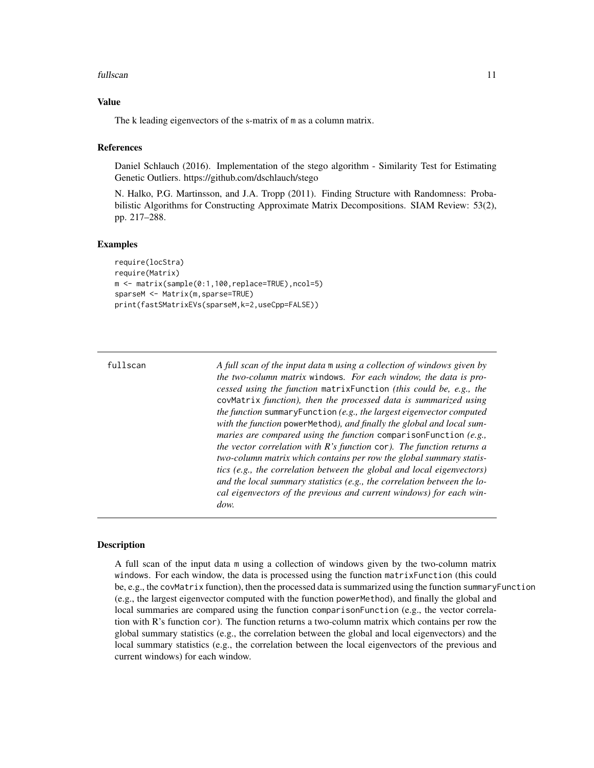#### <span id="page-10-0"></span>fullscan the contract of the contract of the contract of the contract of the contract of the contract of the contract of the contract of the contract of the contract of the contract of the contract of the contract of the c

#### Value

The k leading eigenvectors of the s-matrix of m as a column matrix.

#### References

Daniel Schlauch (2016). Implementation of the stego algorithm - Similarity Test for Estimating Genetic Outliers. https://github.com/dschlauch/stego

N. Halko, P.G. Martinsson, and J.A. Tropp (2011). Finding Structure with Randomness: Probabilistic Algorithms for Constructing Approximate Matrix Decompositions. SIAM Review: 53(2), pp. 217–288.

#### Examples

```
require(locStra)
require(Matrix)
m <- matrix(sample(0:1,100,replace=TRUE),ncol=5)
sparseM <- Matrix(m,sparse=TRUE)
print(fastSMatrixEVs(sparseM,k=2,useCpp=FALSE))
```
fullscan *A full scan of the input data* m *using a collection of windows given by the two-column matrix* windows*. For each window, the data is processed using the function* matrixFunction *(this could be, e.g., the* covMatrix *function), then the processed data is summarized using the function* summaryFunction *(e.g., the largest eigenvector computed with the function* powerMethod*), and finally the global and local summaries are compared using the function* comparisonFunction *(e.g., the vector correlation with R's function* cor*). The function returns a two-column matrix which contains per row the global summary statistics (e.g., the correlation between the global and local eigenvectors) and the local summary statistics (e.g., the correlation between the local eigenvectors of the previous and current windows) for each window.*

#### **Description**

A full scan of the input data m using a collection of windows given by the two-column matrix windows. For each window, the data is processed using the function matrixFunction (this could be, e.g., the covMatrix function), then the processed data is summarized using the function summaryFunction (e.g., the largest eigenvector computed with the function powerMethod), and finally the global and local summaries are compared using the function comparisonFunction (e.g., the vector correlation with  $R$ 's function cor). The function returns a two-column matrix which contains per row the global summary statistics (e.g., the correlation between the global and local eigenvectors) and the local summary statistics (e.g., the correlation between the local eigenvectors of the previous and current windows) for each window.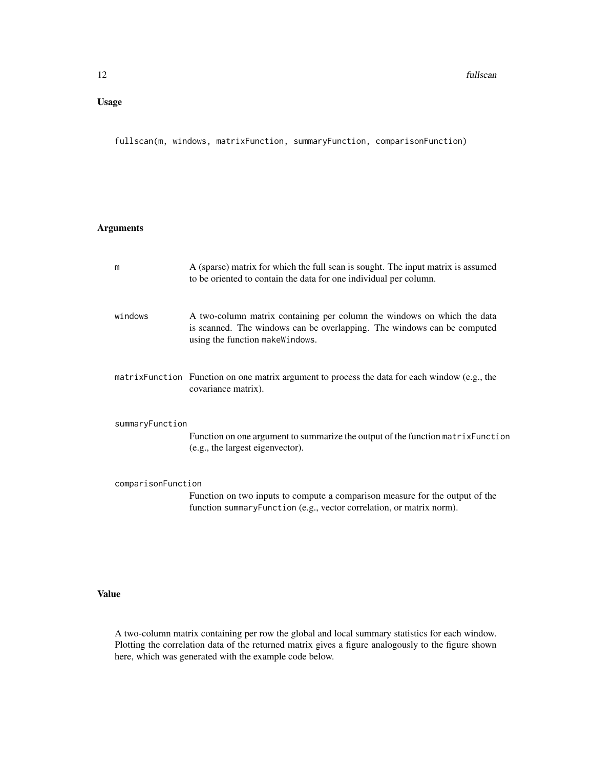# Usage

fullscan(m, windows, matrixFunction, summaryFunction, comparisonFunction)

# Arguments

| m                  | A (sparse) matrix for which the full scan is sought. The input matrix is assumed<br>to be oriented to contain the data for one individual per column.                                 |
|--------------------|---------------------------------------------------------------------------------------------------------------------------------------------------------------------------------------|
| windows            | A two-column matrix containing per column the windows on which the data<br>is scanned. The windows can be overlapping. The windows can be computed<br>using the function makeWindows. |
|                    | matrix Function Function on one matrix argument to process the data for each window (e.g., the<br>covariance matrix).                                                                 |
| summaryFunction    | Function on one argument to summarize the output of the function matrix Function<br>(e.g., the largest eigenvector).                                                                  |
| comparisonFunction | Function on two inputs to compute a comparison measure for the output of the<br>function summaryFunction (e.g., vector correlation, or matrix norm).                                  |

# Value

A two-column matrix containing per row the global and local summary statistics for each window. Plotting the correlation data of the returned matrix gives a figure analogously to the figure shown here, which was generated with the example code below.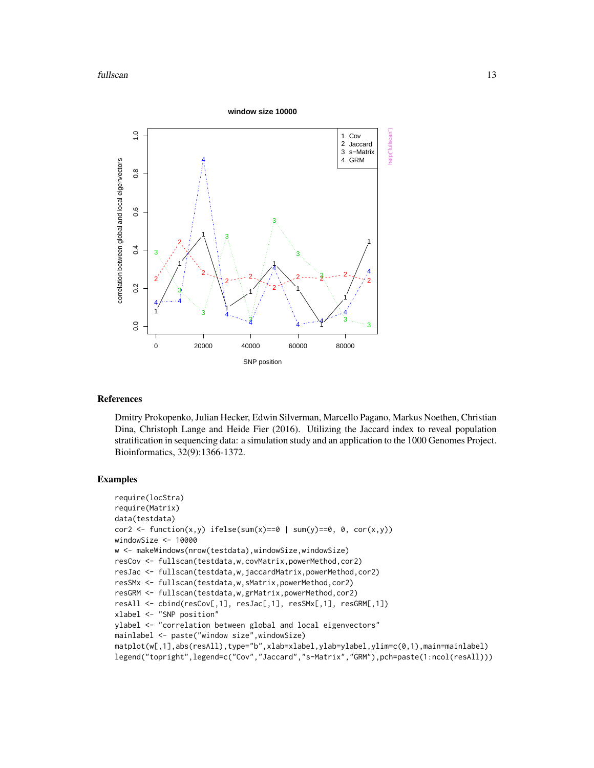

Dmitry Prokopenko, Julian Hecker, Edwin Silverman, Marcello Pagano, Markus Noethen, Christian Dina, Christoph Lange and Heide Fier (2016). Utilizing the Jaccard index to reveal population stratification in sequencing data: a simulation study and an application to the 1000 Genomes Project. Bioinformatics, 32(9):1366-1372.

```
require(locStra)
require(Matrix)
data(testdata)
cor2 <- function(x,y) ifelse(sum(x)==0 | sum(y)==0, 0, cor(x,y))
windowSize <- 10000
w <- makeWindows(nrow(testdata),windowSize,windowSize)
resCov <- fullscan(testdata,w,covMatrix,powerMethod,cor2)
resJac <- fullscan(testdata,w,jaccardMatrix,powerMethod,cor2)
resSMx <- fullscan(testdata,w,sMatrix,powerMethod,cor2)
resGRM <- fullscan(testdata,w,grMatrix,powerMethod,cor2)
resAll <- cbind(resCov[,1], resJac[,1], resSMx[,1], resGRM[,1])
xlabel <- "SNP position"
ylabel <- "correlation between global and local eigenvectors"
mainlabel <- paste("window size",windowSize)
matplot(w[,1],abs(resAll),type="b",xlab=xlabel,ylab=ylabel,ylim=c(0,1),main=mainlabel)
legend("topright",legend=c("Cov","Jaccard","s-Matrix","GRM"),pch=paste(1:ncol(resAll)))
```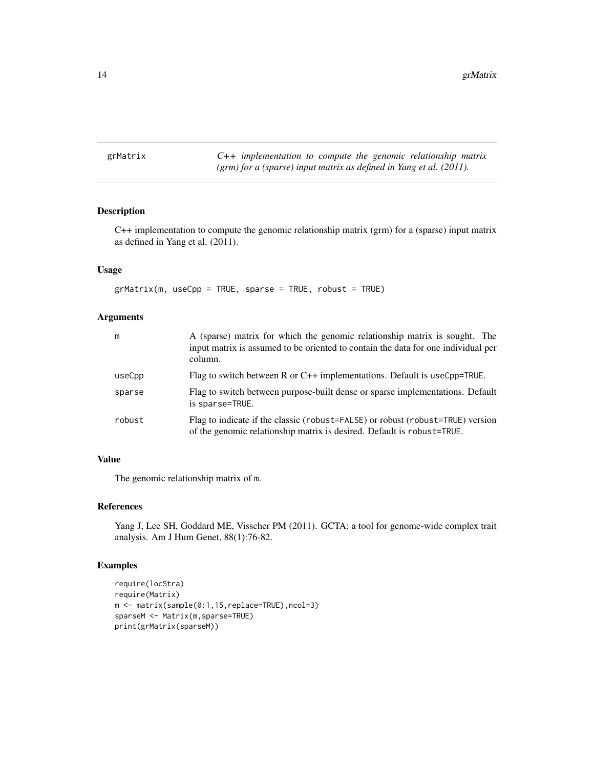<span id="page-13-0"></span>grMatrix *C++ implementation to compute the genomic relationship matrix (grm) for a (sparse) input matrix as defined in Yang et al. (2011).*

# Description

C++ implementation to compute the genomic relationship matrix (grm) for a (sparse) input matrix as defined in Yang et al. (2011).

#### Usage

 $grMatrix(m, useCpp = TRUE, sparse = TRUE, robust = TRUE)$ 

# Arguments

| m      | A (sparse) matrix for which the genomic relationship matrix is sought. The<br>input matrix is assumed to be oriented to contain the data for one individual per<br>column. |
|--------|----------------------------------------------------------------------------------------------------------------------------------------------------------------------------|
| useCpp | Flag to switch between R or $C++$ implementations. Default is useCpp=TRUE.                                                                                                 |
| sparse | Flag to switch between purpose-built dense or sparse implementations. Default<br>is sparse=TRUE.                                                                           |
| robust | Flag to indicate if the classic (robust=FALSE) or robust (robust=TRUE) version<br>of the genomic relationship matrix is desired. Default is robust=TRUE.                   |

# Value

The genomic relationship matrix of m.

#### References

Yang J, Lee SH, Goddard ME, Visscher PM (2011). GCTA: a tool for genome-wide complex trait analysis. Am J Hum Genet, 88(1):76-82.

```
require(locStra)
require(Matrix)
m <- matrix(sample(0:1,15,replace=TRUE),ncol=3)
sparseM <- Matrix(m,sparse=TRUE)
print(grMatrix(sparseM))
```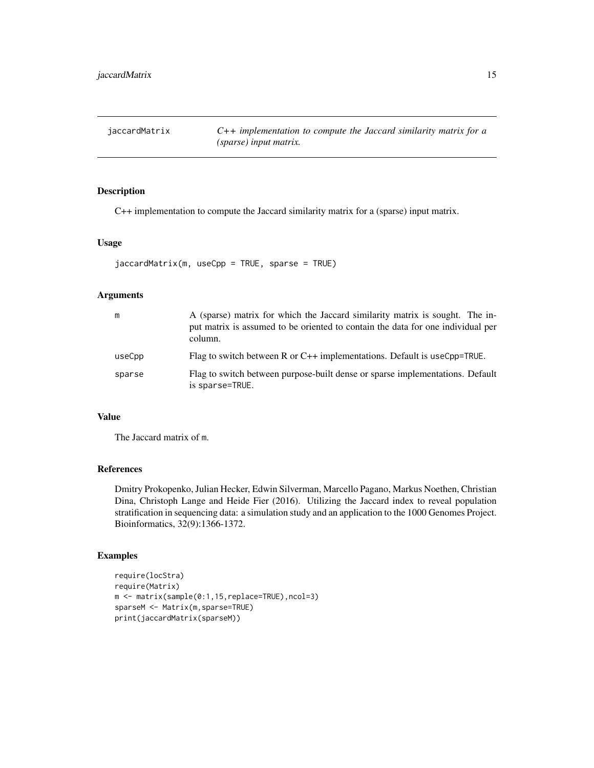<span id="page-14-0"></span>jaccardMatrix *C++ implementation to compute the Jaccard similarity matrix for a (sparse) input matrix.*

# Description

C++ implementation to compute the Jaccard similarity matrix for a (sparse) input matrix.

#### Usage

```
jaccardMatrix(m, useCpp = TRUE, sparse = TRUE)
```
# Arguments

| m      | A (sparse) matrix for which the Jaccard similarity matrix is sought. The in-<br>put matrix is assumed to be oriented to contain the data for one individual per<br>column. |
|--------|----------------------------------------------------------------------------------------------------------------------------------------------------------------------------|
| useCpp | Flag to switch between R or $C++$ implementations. Default is useCpp=TRUE.                                                                                                 |
| sparse | Flag to switch between purpose-built dense or sparse implementations. Default<br>is sparse=TRUE.                                                                           |

#### Value

The Jaccard matrix of m.

# References

Dmitry Prokopenko, Julian Hecker, Edwin Silverman, Marcello Pagano, Markus Noethen, Christian Dina, Christoph Lange and Heide Fier (2016). Utilizing the Jaccard index to reveal population stratification in sequencing data: a simulation study and an application to the 1000 Genomes Project. Bioinformatics, 32(9):1366-1372.

```
require(locStra)
require(Matrix)
m <- matrix(sample(0:1,15,replace=TRUE),ncol=3)
sparseM <- Matrix(m,sparse=TRUE)
print(jaccardMatrix(sparseM))
```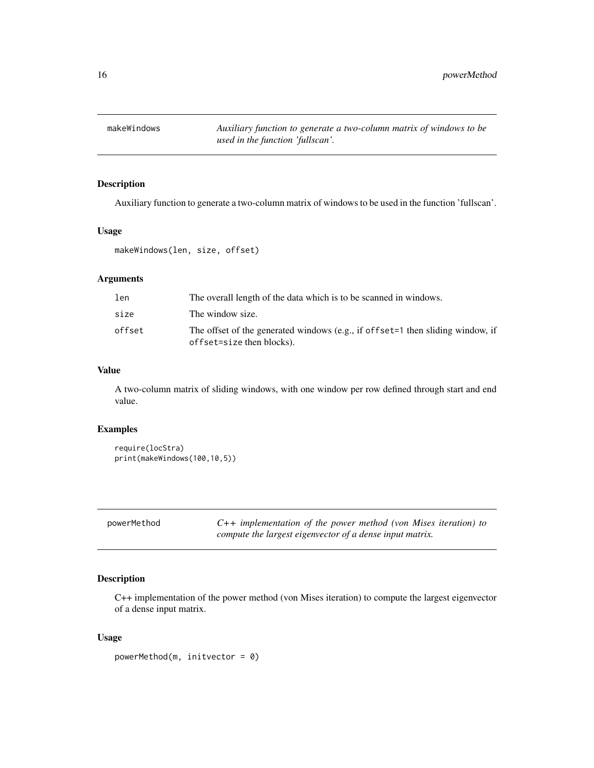<span id="page-15-0"></span>makeWindows *Auxiliary function to generate a two-column matrix of windows to be used in the function 'fullscan'.*

#### Description

Auxiliary function to generate a two-column matrix of windows to be used in the function 'fullscan'.

# Usage

```
makeWindows(len, size, offset)
```
# Arguments

| len    | The overall length of the data which is to be scanned in windows.                                           |
|--------|-------------------------------------------------------------------------------------------------------------|
| size   | The window size.                                                                                            |
| offset | The offset of the generated windows (e.g., if offset=1 then sliding window, if<br>offset=size then blocks). |

#### Value

A two-column matrix of sliding windows, with one window per row defined through start and end value.

#### Examples

```
require(locStra)
print(makeWindows(100,10,5))
```
powerMethod *C++ implementation of the power method (von Mises iteration) to compute the largest eigenvector of a dense input matrix.*

# Description

C++ implementation of the power method (von Mises iteration) to compute the largest eigenvector of a dense input matrix.

#### Usage

powerMethod(m, initvector = 0)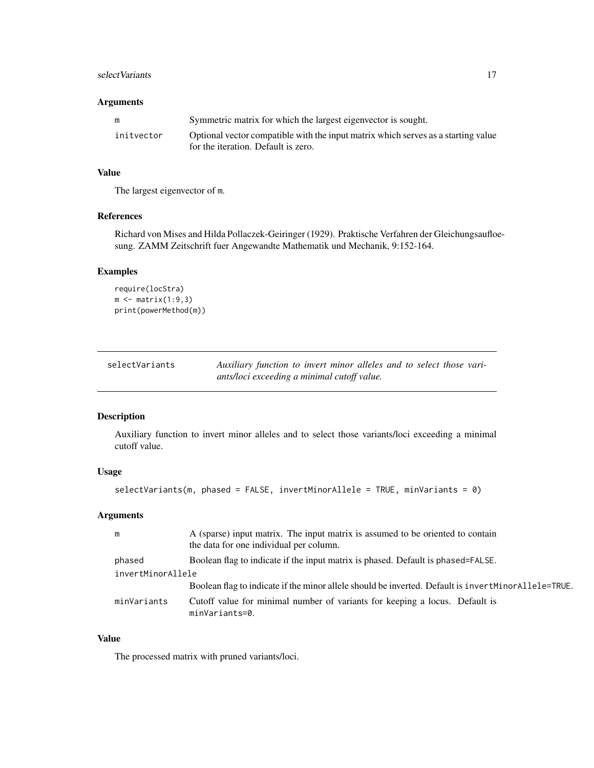# <span id="page-16-0"></span>select Variants 17

# Arguments

| m          | Symmetric matrix for which the largest eigenvector is sought.                                                            |
|------------|--------------------------------------------------------------------------------------------------------------------------|
| initvector | Optional vector compatible with the input matrix which serves as a starting value<br>for the iteration. Default is zero. |

# Value

The largest eigenvector of m.

# References

Richard von Mises and Hilda Pollaczek-Geiringer (1929). Praktische Verfahren der Gleichungsaufloesung. ZAMM Zeitschrift fuer Angewandte Mathematik und Mechanik, 9:152-164.

# Examples

```
require(locStra)
m \leftarrow matrix(1:9,3)print(powerMethod(m))
```

| selectVariants | Auxiliary function to invert minor alleles and to select those vari- |
|----------------|----------------------------------------------------------------------|
|                | ants/loci exceeding a minimal cutoff value.                          |

# Description

Auxiliary function to invert minor alleles and to select those variants/loci exceeding a minimal cutoff value.

# Usage

```
selectVariants(m, phased = FALSE, invertMinorAllele = TRUE, minVariants = 0)
```
# Arguments

| m                 | A (sparse) input matrix. The input matrix is assumed to be oriented to contain<br>the data for one individual per column. |  |
|-------------------|---------------------------------------------------------------------------------------------------------------------------|--|
|                   |                                                                                                                           |  |
| phased            | Boolean flag to indicate if the input matrix is phased. Default is phased=FALSE.                                          |  |
| invertMinorAllele |                                                                                                                           |  |
|                   | Boolean flag to indicate if the minor allele should be inverted. Default is invertMinorAllele=TRUE.                       |  |
| minVariants       | Cutoff value for minimal number of variants for keeping a locus. Default is<br>minVariants=0.                             |  |

# Value

The processed matrix with pruned variants/loci.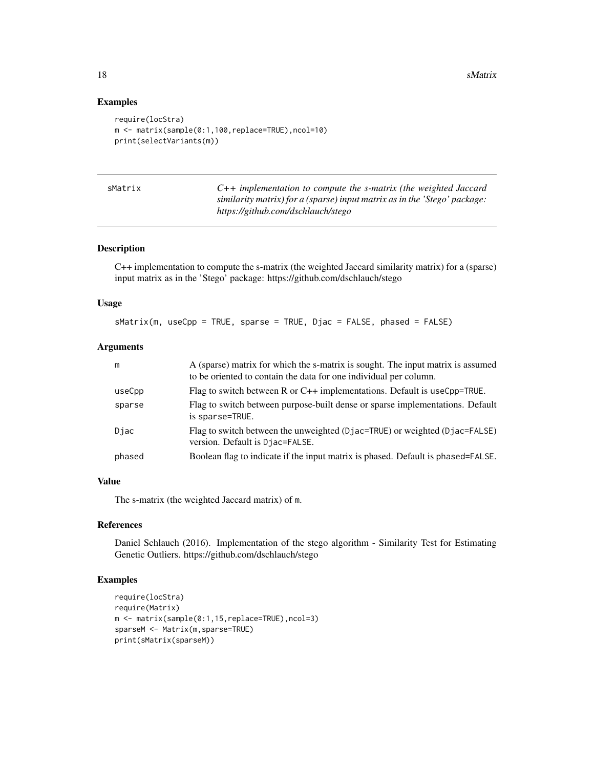#### Examples

```
require(locStra)
m <- matrix(sample(0:1,100,replace=TRUE),ncol=10)
print(selectVariants(m))
```

| sMatrix |  |
|---------|--|
|         |  |

C++ implementation to compute the s-matrix (the weighted Jaccard *similarity matrix) for a (sparse) input matrix as in the 'Stego' package: https://github.com/dschlauch/stego*

#### Description

C++ implementation to compute the s-matrix (the weighted Jaccard similarity matrix) for a (sparse) input matrix as in the 'Stego' package: https://github.com/dschlauch/stego

#### Usage

sMatrix(m, useCpp = TRUE, sparse = TRUE, Djac = FALSE, phased = FALSE)

# Arguments

| m      | A (sparse) matrix for which the s-matrix is sought. The input matrix is assumed<br>to be oriented to contain the data for one individual per column. |
|--------|------------------------------------------------------------------------------------------------------------------------------------------------------|
| useCpp | Flag to switch between R or C++ implementations. Default is useCpp=TRUE.                                                                             |
| sparse | Flag to switch between purpose-built dense or sparse implementations. Default<br>is sparse=TRUE.                                                     |
| Djac   | Flag to switch between the unweighted (Djac=TRUE) or weighted (Djac=FALSE)<br>version. Default is Djac=FALSE.                                        |
| phased | Boolean flag to indicate if the input matrix is phased. Default is phased=FALSE.                                                                     |

# Value

The s-matrix (the weighted Jaccard matrix) of m.

#### References

Daniel Schlauch (2016). Implementation of the stego algorithm - Similarity Test for Estimating Genetic Outliers. https://github.com/dschlauch/stego

```
require(locStra)
require(Matrix)
m <- matrix(sample(0:1,15,replace=TRUE),ncol=3)
sparseM <- Matrix(m,sparse=TRUE)
print(sMatrix(sparseM))
```
<span id="page-17-0"></span>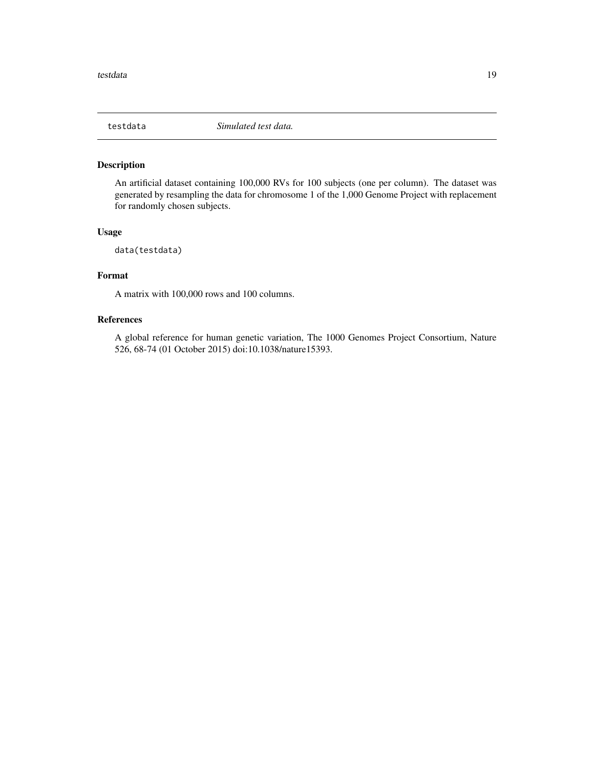<span id="page-18-0"></span>

# Description

An artificial dataset containing 100,000 RVs for 100 subjects (one per column). The dataset was generated by resampling the data for chromosome 1 of the 1,000 Genome Project with replacement for randomly chosen subjects.

# Usage

```
data(testdata)
```
# Format

A matrix with 100,000 rows and 100 columns.

# References

A global reference for human genetic variation, The 1000 Genomes Project Consortium, Nature 526, 68-74 (01 October 2015) doi:10.1038/nature15393.